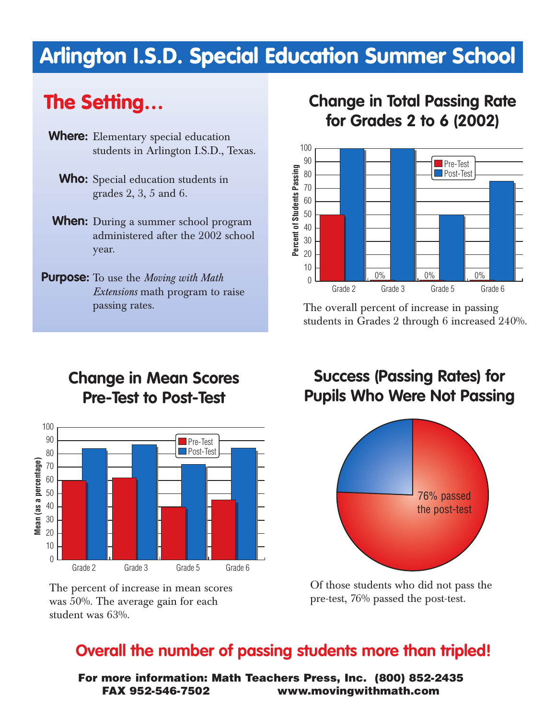# **Arlington I.S.D. Special Education Summer School**

# **The Setting…**

- **Where:** Elementary special education students in Arlington I.S.D., Texas.
	- **Who:** Special education students in grades 2, 3, 5 and 6.
- **When:** During a summer school program administered after the 2002 school year.
- **Purpose:** To use the *Moving with Math Extensions* math program to raise passing rates.

#### **Change in Total Passing Rate for Grades 2 to 6 (2002)**



The overall percent of increase in passing students in Grades 2 through 6 increased 240%.

## **Change in Mean Scores Pre-Test to Post-Test**



The percent of increase in mean scores was 50%. The average gain for each student was 63%.

## **Success (Passing Rates) for Pupils Who Were Not Passing**



Of those students who did not pass the pre-test, 76% passed the post-test.

#### **Overall the number of passing students more than tripled!**

**For more information: Math Teachers Press, Inc. (800) 852-2435 FAX 952-546-7502 www.movingwithmath.com**